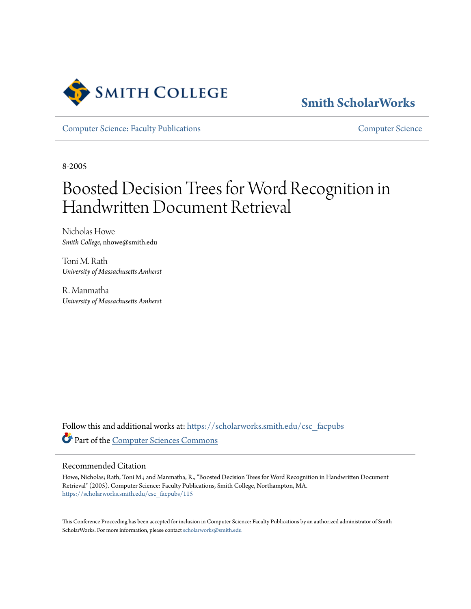

# **[Smith ScholarWorks](https://scholarworks.smith.edu/?utm_source=scholarworks.smith.edu%2Fcsc_facpubs%2F115&utm_medium=PDF&utm_campaign=PDFCoverPages)**

[Computer Science: Faculty Publications](https://scholarworks.smith.edu/csc_facpubs?utm_source=scholarworks.smith.edu%2Fcsc_facpubs%2F115&utm_medium=PDF&utm_campaign=PDFCoverPages) [Computer Science](https://scholarworks.smith.edu/csc?utm_source=scholarworks.smith.edu%2Fcsc_facpubs%2F115&utm_medium=PDF&utm_campaign=PDFCoverPages)

8-2005

# Boosted Decision Trees for Word Recognition in Handwritten Document Retrieval

Nicholas Howe *Smith College*, nhowe@smith.edu

Toni M. Rath *University of Massachusetts Amherst*

R. Manmatha *University of Massachusetts Amherst*

Follow this and additional works at: [https://scholarworks.smith.edu/csc\\_facpubs](https://scholarworks.smith.edu/csc_facpubs?utm_source=scholarworks.smith.edu%2Fcsc_facpubs%2F115&utm_medium=PDF&utm_campaign=PDFCoverPages) Part of the [Computer Sciences Commons](http://network.bepress.com/hgg/discipline/142?utm_source=scholarworks.smith.edu%2Fcsc_facpubs%2F115&utm_medium=PDF&utm_campaign=PDFCoverPages)

# Recommended Citation

Howe, Nicholas; Rath, Toni M.; and Manmatha, R., "Boosted Decision Trees for Word Recognition in Handwritten Document Retrieval" (2005). Computer Science: Faculty Publications, Smith College, Northampton, MA. [https://scholarworks.smith.edu/csc\\_facpubs/115](https://scholarworks.smith.edu/csc_facpubs/115?utm_source=scholarworks.smith.edu%2Fcsc_facpubs%2F115&utm_medium=PDF&utm_campaign=PDFCoverPages)

This Conference Proceeding has been accepted for inclusion in Computer Science: Faculty Publications by an authorized administrator of Smith ScholarWorks. For more information, please contact [scholarworks@smith.edu](mailto:scholarworks@smith.edu)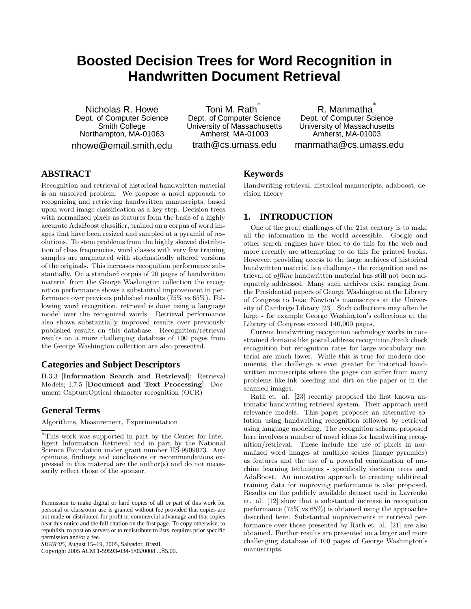# **Boosted Decision Trees for Word Recognition in Handwritten Document Retrieval**

Nicholas R. Howe Dept. of Computer Science Smith College Northampton, MA-01063 nhowe@email.smith.edu

Toni M. Rath<sup>\*</sup> Dept. of Computer Science University of Massachusetts Amherst, MA-01003 trath@cs.umass.edu

R. Manmatha<sup>\*</sup> Dept. of Computer Science University of Massachusetts Amherst, MA-01003 manmatha@cs.umass.edu

# **ABSTRACT**

Recognition and retrieval of historical handwritten material is an unsolved problem. We propose a novel approach to recognizing and retrieving handwritten manuscripts, based upon word image classification as a key step. Decision trees with normalized pixels as features form the basis of a highly accurate AdaBoost classifier, trained on a corpus of word images that have been resized and sampled at a pyramid of resolutions. To stem problems from the highly skewed distribution of class frequencies, word classes with very few training samples are augmented with stochastically altered versions of the originals. This increases recognition performance substantially. On a standard corpus of 20 pages of handwritten material from the George Washington collection the recognition performance shows a substantial improvement in performance over previous published results (75% vs 65%). Following word recognition, retrieval is done using a language model over the recognized words. Retrieval performance also shows substantially improved results over previously published results on this database. Recognition/retrieval results on a more challenging database of 100 pages from the George Washington collection are also presented.

# **Categories and Subject Descriptors**

H.3.3 [Information Search and Retrieval]: Retrieval Models; I.7.5 [Document and Text Processing]: Document CaptureOptical character recognition (OCR)

# **General Terms**

Algorithms, Measurement, Experimentation

Copyright 2005 ACM 1-59593-034-5/05/0008 ...\$5.00.

# **Keywords**

Handwriting retrieval, historical manuscripts, adaboost, decision theory

# **1. INTRODUCTION**

One of the great challenges of the 21st century is to make all the information in the world accessible. Google and other search engines have tried to do this for the web and more recently are attempting to do this for printed books. However, providing access to the large archives of historical handwritten material is a challenge - the recognition and retrieval of offline handwritten material has still not been adequately addressed. Many such archives exist ranging from the Presidential papers of George Washington at the Library of Congress to Isaac Newton's manuscripts at the University of Cambrige Library [23]. Such collections may often be large - for example George Washington's collections at the Library of Congress exceed 140,000 pages.

Current handwriting recognition technology works in constrained domains like postal address recognition/bank check recognition but recognition rates for large vocabulary material are much lower. While this is true for modern documents, the challenge is even greater for historical handwritten manuscripts where the pages can suffer from many problems like ink bleeding and dirt on the paper or in the scanned images.

Rath et. al. [23] recently proposed the first known automatic handwriting retrieval system. Their approach used relevance models. This paper proposes an alternative solution using handwriting recognition followed by retrieval using language modeling. The recognition scheme proposed here involves a number of novel ideas for handwriting recognition/retrieval. These include the use of pixels in normalized word images at multiple scales (image pyramids) as features and the use of a powerful combination of machine learning techniques - specifically decision trees and AdaBoost. An innovative approach to creating additional training data for improving performance is also proposed. Results on the publicly available dataset used in Lavrenko et. al. [12] show that a substantial increase in recognition performance (75% vs 65%) is obtained using the approaches described here. Substantial improvements in retrieval performance over those presented by Rath et. al. [21] are also obtained. Further results are presented on a larger and more challenging database of 100 pages of George Washington's manuscripts.

<sup>∗</sup>This work was supported in part by the Center for Intelligent Information Retrieval and in part by the National Science Foundation under grant number IIS-9909073. Any opinions, findings and conclusions or recommendations expressed in this material are the author(s) and do not necessarily reflect those of the sponsor.

Permission to make digital or hard copies of all or part of this work for personal or classroom use is granted without fee provided that copies are not made or distributed for profit or commercial advantage and that copies bear this notice and the full citation on the first page. To copy otherwise, to republish, to post on servers or to redistribute to lists, requires prior specific permission and/or a fee.

*SIGIR'05,* August 15–19, 2005, Salvador, Brazil.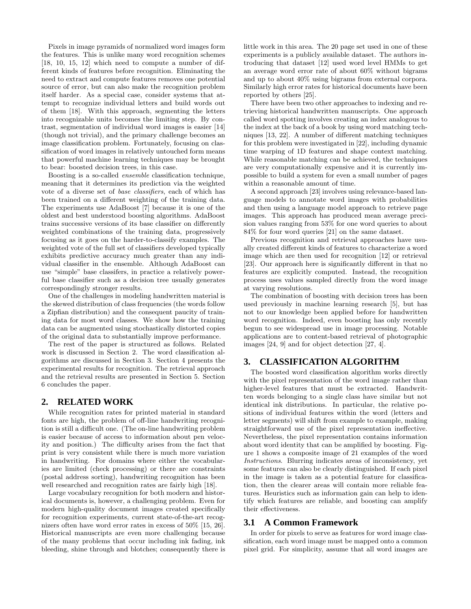Pixels in image pyramids of normalized word images form the features. This is unlike many word recognition schemes [18, 10, 15, 12] which need to compute a number of different kinds of features before recognition. Eliminating the need to extract and compute features removes one potential source of error, but can also make the recognition problem itself harder. As a special case, consider systems that attempt to recognize individual letters and build words out of them [18]. With this approach, segmenting the letters into recognizable units becomes the limiting step. By contrast, segmentation of individual word images is easier [14] (though not trivial), and the primary challenge becomes an image classification problem. Fortunately, focusing on classification of word images in relatively untouched form means that powerful machine learning techniques may be brought to bear: boosted decision trees, in this case.

Boosting is a so-called ensemble classification technique, meaning that it determines its prediction via the weighted vote of a diverse set of base classifiers, each of which has been trained on a different weighting of the training data. The experiments use AdaBoost [7] because it is one of the oldest and best understood boosting algorithms. AdaBoost trains successive versions of its base classifier on differently weighted combinations of the training data, progressively focusing as it goes on the harder-to-classify examples. The weighted vote of the full set of classifiers developed typically exhibits predictive accuracy much greater than any individual classifier in the ensemble. Although AdaBoost can use "simple" base classifers, in practice a relatively powerful base classifier such as a decision tree usually generates correspondingly stronger results.

One of the challenges in modeling handwritten material is the skewed distribution of class frequencies (the words follow a Zipfian distribution) and the consequent paucity of training data for most word classes. We show how the training data can be augmented using stochastically distorted copies of the original data to substantially improve performance.

The rest of the paper is structured as follows. Related work is discussed in Section 2. The word classification algorithms are discussed in Section 3. Section 4 presents the experimental results for recognition. The retrieval approach and the retrieval results are presented in Section 5. Section 6 concludes the paper.

#### **2. RELATED WORK**

While recognition rates for printed material in standard fonts are high, the problem of off-line handwriting recognition is still a difficult one. (The on-line handwriting problem is easier because of access to information about pen velocity and position.) The difficulty arises from the fact that print is very consistent while there is much more variation in handwriting. For domains where either the vocabularies are limited (check processing) or there are constraints (postal address sorting), handwriting recognition has been well researched and recognition rates are fairly high [18].

Large vocabulary recognition for both modern and historical documents is, however, a challenging problem. Even for modern high-quality document images created specifically for recognition experiments, current state-of-the-art recognizers often have word error rates in excess of 50% [15, 26]. Historical manuscripts are even more challenging because of the many problems that occur including ink fading, ink bleeding, shine through and blotches; consequently there is little work in this area. The 20 page set used in one of these experiments is a publicly available dataset. The authors introducing that dataset [12] used word level HMMs to get an average word error rate of about 60% without bigrams and up to about 40% using bigrams from external corpora. Similarly high error rates for historical documents have been reported by others [25].

There have been two other approaches to indexing and retrieving historical handwritten manuscripts. One approach called word spotting involves creating an index analogous to the index at the back of a book by using word matching techniques [13, 22]. A number of different matching techniques for this problem were investigated in [22], including dynamic time warping of 1D features and shape context matching. While reasonable matching can be achieved, the techniques are very computationally expensive and it is currently impossible to build a system for even a small number of pages within a reasonable amount of time.

A second approach [23] involves using relevance-based language models to annotate word images with probabilities and then using a language model approach to retrieve page images. This approach has produced mean average precision values ranging from 53% for one word queries to about 84% for four word queries [21] on the same dataset.

Previous recognition and retrieval approaches have usually created different kinds of features to characterize a word image which are then used for recognition [12] or retrieval [23]. Our approach here is significantly different in that no features are explicitly computed. Instead, the recognition process uses values sampled directly from the word image at varying resolutions.

The combination of boosting with decision trees has been used previously in machine learning research [5], but has not to our knowledge been applied before for handwritten word recognition. Indeed, even boosting has only recently begun to see widespread use in image processing. Notable applications are to content-based retrieval of photographic images [24, 9] and for object detection [27, 4].

#### **3. CLASSIFICATION ALGORITHM**

The boosted word classification algorithm works directly with the pixel representation of the word image rather than higher-level features that must be extracted. Handwritten words belonging to a single class have similar but not identical ink distributions. In particular, the relative positions of individual features within the word (letters and letter segments) will shift from example to example, making straightforward use of the pixel representation ineffective. Nevertheless, the pixel representation contains information about word identity that can be amplified by boosting. Figure 1 shows a composite image of 21 examples of the word Instructions. Blurring indicates areas of inconsistency, yet some features can also be clearly distinguished. If each pixel in the image is taken as a potential feature for classification, then the clearer areas will contain more reliable features. Heuristics such as information gain can help to identify which features are reliable, and boosting can amplify their effectiveness.

#### **3.1 A Common Framework**

In order for pixels to serve as features for word image classification, each word image must be mapped onto a common pixel grid. For simplicity, assume that all word images are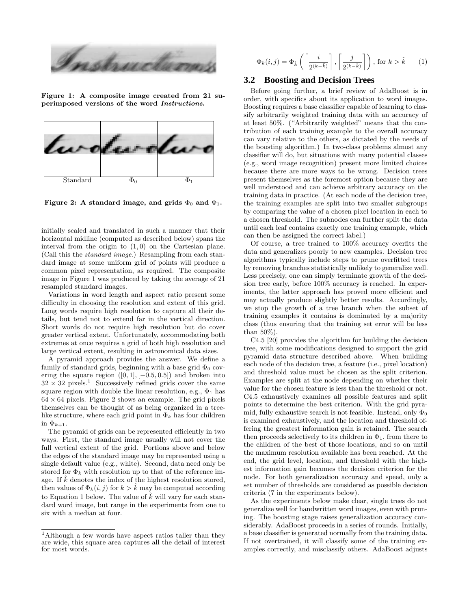

Figure 1: A composite image created from 21 superimposed versions of the word Instructions.



Figure 2: A standard image, and grids  $\Phi_0$  and  $\Phi_1$ .

initially scaled and translated in such a manner that their horizontal midline (computed as described below) spans the interval from the origin to  $(1,0)$  on the Cartesian plane. (Call this the standard image.) Resampling from each standard image at some uniform grid of points will produce a common pixel representation, as required. The composite image in Figure 1 was produced by taking the average of 21 resampled standard images.

Variations in word length and aspect ratio present some difficulty in choosing the resolution and extent of this grid. Long words require high resolution to capture all their details, but tend not to extend far in the vertical direction. Short words do not require high resolution but do cover greater vertical extent. Unfortunately, accommodating both extremes at once requires a grid of both high resolution and large vertical extent, resulting in astronomical data sizes.

A pyramid approach provides the answer. We define a family of standard grids, beginning with a base grid  $\Phi_0$  covering the square region  $([0, 1], [-0.5, 0.5])$  and broken into  $32 \times 32$  pixels.<sup>1</sup> Successively refined grids cover the same square region with double the linear resolution, e.g.,  $\Phi_1$  has  $64 \times 64$  pixels. Figure 2 shows an example. The grid pixels themselves can be thought of as being organized in a treelike structure, where each grid point in  $\Phi_k$  has four children in  $\Phi_{k+1}$ .

The pyramid of grids can be represented efficiently in two ways. First, the standard image usually will not cover the full vertical extent of the grid. Portions above and below the edges of the standard image may be represented using a single default value (e.g., white). Second, data need only be stored for  $\Phi_k$  with resolution up to that of the reference image. If  $\hat{k}$  denotes the index of the highest resolution stored, then values of  $\Phi_k(i, j)$  for  $k > k$  may be computed according to Equation 1 below. The value of  $k$  will vary for each standard word image, but range in the experiments from one to six with a median at four.

$$
\Phi_k(i,j) = \Phi_{\hat{k}}\left(\left\lceil \frac{i}{2^{(k-\hat{k})}} \right\rceil, \left\lceil \frac{j}{2^{(k-\hat{k})}} \right\rceil \right), \text{ for } k > \hat{k} \qquad (1)
$$

#### **3.2 Boosting and Decision Trees**

Before going further, a brief review of AdaBoost is in order, with specifics about its application to word images. Boosting requires a base classifier capable of learning to classify arbitrarily weighted training data with an accuracy of at least 50%. ("Arbitrarily weighted" means that the contribution of each training example to the overall accuracy can vary relative to the others, as dictated by the needs of the boosting algorithm.) In two-class problems almost any classifier will do, but situations with many potential classes (e.g., word image recognition) present more limited choices because there are more ways to be wrong. Decision trees present themselves as the foremost option because they are well understood and can achieve arbitrary accuracy on the training data in practice. (At each node of the decision tree, the training examples are split into two smaller subgroups by comparing the value of a chosen pixel location in each to a chosen threshold. The subnodes can further split the data until each leaf contains exactly one training example, which can then be assigned the correct label.)

Of course, a tree trained to 100% accuracy overfits the data and generalizes poorly to new examples. Decision tree algorithms typically include steps to prune overfitted trees by removing branches statistically unlikely to generalize well. Less precisely, one can simply terminate growth of the decision tree early, before 100% accuracy is reached. In experiments, the latter approach has proved more efficient and may actually produce slightly better results. Accordingly, we stop the growth of a tree branch when the subset of training examples it contains is dominated by a majority class (thus ensuring that the training set error will be less than 50%).

C4.5 [20] provides the algorithm for building the decision tree, with some modifications designed to support the grid pyramid data structure described above. When building each node of the decision tree, a feature (i.e., pixel location) and threshold value must be chosen as the split criterion. Examples are split at the node depending on whether their value for the chosen feature is less than the threshold or not. C4.5 exhaustively examines all possible features and split points to determine the best criterion. With the grid pyramid, fully exhaustive search is not feasible. Instead, only  $\Phi_0$ is examined exhaustively, and the location and threshold offering the greatest information gain is retained. The search then proceeds selectively to its children in  $\Phi_1$ , from there to the children of the best of those locations, and so on until the maximum resolution available has been reached. At the end, the grid level, location, and threshold with the highest information gain becomes the decision criterion for the node. For both generalization accuracy and speed, only a set number of thresholds are considered as possible decision criteria (7 in the experiments below).

As the experiments below make clear, single trees do not generalize well for handwritten word images, even with pruning. The boosting stage raises generalization accuracy considerably. AdaBoost proceeds in a series of rounds. Initially, a base classifier is generated normally from the training data. If not overtrained, it will classify some of the training examples correctly, and misclassify others. AdaBoost adjusts

<sup>1</sup>Although a few words have aspect ratios taller than they are wide, this square area captures all the detail of interest for most words.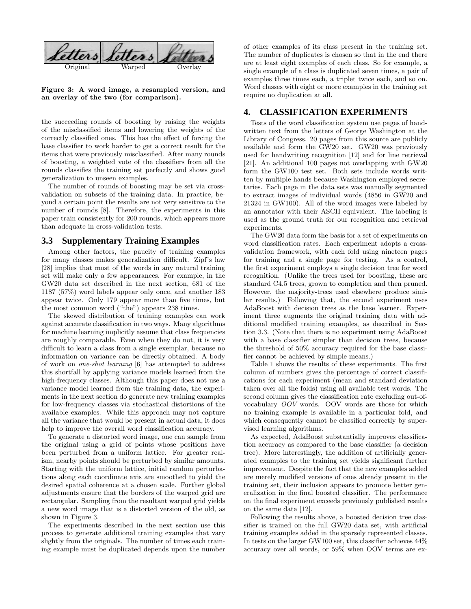

Figure 3: A word image, a resampled version, and an overlay of the two (for comparison).

the succeeding rounds of boosting by raising the weights of the misclassified items and lowering the weights of the correctly classified ones. This has the effect of forcing the base classifier to work harder to get a correct result for the items that were previously misclassified. After many rounds of boosting, a weighted vote of the classifiers from all the rounds classifies the training set perfectly and shows good generalization to unseen examples.

The number of rounds of boosting may be set via crossvalidation on subsets of the training data. In practice, beyond a certain point the results are not very sensitive to the number of rounds [8]. Therefore, the experiments in this paper train consistently for 200 rounds, which appears more than adequate in cross-validation tests.

#### **3.3 Supplementary Training Examples**

Among other factors, the paucity of training examples for many classes makes generalization difficult. Zipf's law [28] implies that most of the words in any natural training set will make only a few appearances. For example, in the GW20 data set described in the next section, 681 of the 1187 (57%) word labels appear only once, and another 183 appear twice. Only 179 appear more than five times, but the most common word ("the") appears 238 times.

The skewed distribution of training examples can work against accurate classification in two ways. Many algorithms for machine learning implicitly assume that class frequencies are roughly comparable. Even when they do not, it is very difficult to learn a class from a single exemplar, because no information on variance can be directly obtained. A body of work on one-shot learning [6] has attempted to address this shortfall by applying variance models learned from the high-frequency classes. Although this paper does not use a variance model learned from the training data, the experiments in the next section do generate new training examples for low-frequency classes via stochastical distortions of the available examples. While this approach may not capture all the variance that would be present in actual data, it does help to improve the overall word classification accuracy.

To generate a distorted word image, one can sample from the original using a grid of points whose positions have been perturbed from a uniform lattice. For greater realism, nearby points should be perturbed by similar amounts. Starting with the uniform lattice, initial random perturbations along each coordinate axis are smoothed to yield the desired spatial coherence at a chosen scale. Further global adjustments ensure that the borders of the warped grid are rectangular. Sampling from the resultant warped grid yields a new word image that is a distorted version of the old, as shown in Figure 3.

The experiments described in the next section use this process to generate additional training examples that vary slightly from the originals. The number of times each training example must be duplicated depends upon the number of other examples of its class present in the training set. The number of duplicates is chosen so that in the end there are at least eight examples of each class. So for example, a single example of a class is duplicated seven times, a pair of examples three times each, a triplet twice each, and so on. Word classes with eight or more examples in the training set require no duplication at all.

#### **4. CLASSIFICATION EXPERIMENTS**

Tests of the word classification system use pages of handwritten text from the letters of George Washington at the Library of Congress. 20 pages from this source are publicly available and form the GW20 set. GW20 was previously used for handwriting recognition [12] and for line retrieval [21]. An additional 100 pages not overlapping with GW20 form the GW100 test set. Both sets include words written by multiple hands because Washington employed secretaries. Each page in the data sets was manually segmented to extract images of individual words (4856 in GW20 and 21324 in GW100). All of the word images were labeled by an annotator with their ASCII equivalent. The labeling is used as the ground truth for our recognition and retrieval experiments.

The GW20 data form the basis for a set of experiments on word classification rates. Each experiment adopts a crossvalidation framework, with each fold using nineteen pages for training and a single page for testing. As a control, the first experiment employs a single decision tree for word recognition. (Unlike the trees used for boosting, these are standard C4.5 trees, grown to completion and then pruned. However, the majority-trees used elsewhere produce similar results.) Following that, the second experiment uses AdaBoost with decision trees as the base learner. Experiment three augments the original training data with additional modified training examples, as described in Section 3.3. (Note that there is no experiment using AdaBoost with a base classifier simpler than decision trees, because the threshold of 50% accuracy required for the base classifier cannot be achieved by simple means.)

Table 1 shows the results of these experiments. The first column of numbers gives the percentage of correct classifications for each experiment (mean and standard deviation taken over all the folds) using all available test words. The second column gives the classification rate excluding out-ofvocabulary OOV words. OOV words are those for which no training example is available in a particular fold, and which consequently cannot be classified correctly by supervised learning algorithms.

As expected, AdaBoost substantially improves classification accuracy as compared to the base classifier (a decision tree). More interestingly, the addition of artificially generated examples to the training set yields significant further improvement. Despite the fact that the new examples added are merely modified versions of ones already present in the training set, their inclusion appears to promote better generalization in the final boosted classifier. The performance on the final experiment exceeds previously published results on the same data [12].

Following the results above, a boosted decision tree classifier is trained on the full GW20 data set, with artificial training examples added in the sparsely represented classes. In tests on the larger GW100 set, this classifier achieves 44% accuracy over all words, or 59% when OOV terms are ex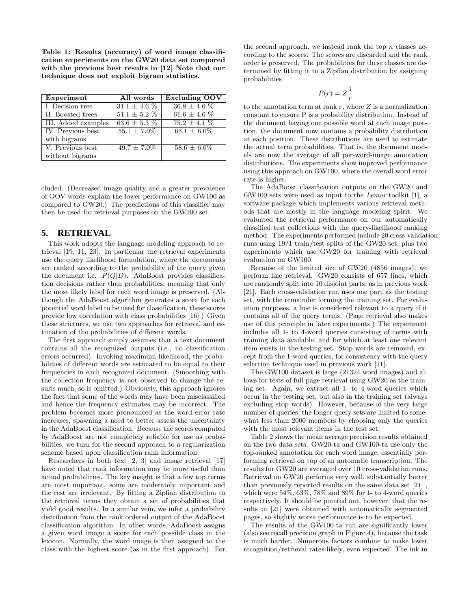Table 1: Results (accuracy) of word image classification experiments on the GW20 data set compared with the previous best results in [12] Note that our technique does not exploit bigram statistics.

| Experiment          | All words         | <b>Excluding OOV</b> |  |
|---------------------|-------------------|----------------------|--|
| I. Decision tree    | $31.1 \pm 4.6 \%$ | $36.8 \pm 4.6 \%$    |  |
| II. Boosted trees   | $51.1 \pm 5.2 \%$ | 61.6 $\pm$ 4.6 %     |  |
| III. Added examples | $63.6 \pm 5.3 \%$ | $75.2 \pm 4.1 \%$    |  |
| IV. Previous best   | $55.1 \pm 7.0\%$  | $65.1 \pm 6.0\%$     |  |
| with bigrams        |                   |                      |  |
| V. Previous best    | $49.7 \pm 7.0\%$  | $58.6 \pm 6.0\%$     |  |
| without bigrams     |                   |                      |  |

cluded. (Decreased image quality and a greater prevalence of OOV words explain the lower performance on GW100 as compared to GW20.) The predictions of this classifier may then be used for retrieval purposes on the GW100 set.

#### **5. RETRIEVAL**

This work adopts the language modeling approach to retrieval [19, 11, 23]. In particular the retrieval experiments use the query likelihood formulation, where the documents are ranked according to the probability of the query given the document i.e.  $P(Q|D)$ . AdaBoost provides classification decisions rather than probabilities, meaning that only the most likely label for each word image is preserved. (Although the AdaBoost algorithm generates a score for each potential word label to be used for classification, these scores provide low correlation with class probabilities [16].) Given these strictures, we use two approaches for retrieval and estimation of the probabilities of different words.

The first approach simply assumes that a text document contains all the recognized outputs (i.e., no classification errors occurred). Invoking maximum likelihood, the probabilities of different words are estimated to be equal to their frequencies in each recognized document. (Smoothing with the collection frequency is not observed to change the results much, so is omitted.) Obviously, this approach ignores the fact that some of the words may have been misclassified and hence the frequency estimates may be incorrect. The problem becomes more pronounced as the word error rate increases, spawning a need to better assess the uncertainty in the AdaBoost classification. Because the scores computed by AdaBoost are not completely reliable for use as probabilities, we turn for the second approach to a regularization scheme based upon classification rank information.

Researchers in both text [2, 3] and image retrieval [17] have noted that rank information may be more useful than actual probabilities. The key insight is that a few top terms are most important, some are moderately important and the rest are irrelevant. By fitting a Zipfian distribution to the retrieval terms they obtain a set of probabilities that yield good results. In a similar vein, we infer a probability distribution from the rank ordered output of the AdaBoost classification algorithm. In other words, AdaBoost assigns a given word image a score for each possible class in the lexicon. Normally, the word image is then assigned to the class with the highest score (as in the first approach). For the second approach, we instead rank the top  $n$  classes according to the scores. The scores are discarded and the rank order is preserved. The probabilities for these classes are determined by fitting it to a Zipfian distribution by assigning probabilities

$$
P(r) = Z\frac{1}{r}
$$

to the annotation term at rank  $r$ , where  $Z$  is a normalization constant to ensure P is a probability distribution. Instead of the document having one possible word at each image position, the document now contains a probability distribution at each position. These distributions are used to estimate the actual term probabilities. That is, the document models are now the average of all per-word-image annotation distributions. The experiments show improved performance using this approach on GW100, where the overall word error rate is higher.

The AdaBoost classification outputs on the GW20 and GW100 sets were used as input to the Lemur toolkit [1], a software package which implements various retrieval methods that are mostly in the language modeling spirit. We evaluated the retrieval performance on our automatically classified test collections with the query-likelihood ranking method. The experiments performed include 20 cross-validation runs using 19/1 train/test splits of the GW20 set, plus two experiments which use GW20 for training with retrieval evaluation on GW100.

Because of the limited size of GW20 (4856 images), we perform line retrieval. GW20 consists of 657 lines, which are randomly split into 10 disjoint parts, as in previous work [21]. Each cross-validation run uses one part as the testing set, with the remainder forming the training set. For evaluation purposes, a line is considered relevant to a query if it contains all of the query terms. (Page retrieval also makes use of this principle in later experiments.) The experiment includes all 1- to 4-word queries consisting of terms with training data available, and for which at least one relevant item exists in the testing set. Stop words are removed, except from the 1-word queries, for consistency with the query selection technique used in previous work [21].

The GW100 dataset is large (21324 word images) and allows for tests of full page retrieval using GW20 as the training set. Again, we extract all 1- to 4-word queries which occur in the testing set, but also in the training set (always excluding stop words). However, because of the very large number of queries, the longer query sets are limited to somewhat less than 2000 members by choosing only the queries with the most relevant items in the test set.

Table 2 shows the mean average precision results obtained on the two data sets. GW20-ta and GW100-ta use only the top-ranked annotation for each word image, essentially performing retrieval on top of an automatic transcription. The results for GW20 are averaged over 10 cross-validation runs. Retrieval on GW20 performs very well, substantially better than previously reported results on the same data set [21] , which were  $54\%, 63\%, 78\%$  and  $89\%$  for 1- to 4-word queries respectively. It should be pointed out, however, that the results in [21] were obtained with automatically segmented pages, so slightly worse performance is to be expected.

The results of the GW100-ta run are significantly lower (also see recall precision graph in Figure 4), because the task is much harder. Numerous factors combine to make lower recognition/retrieval rates likely, even expected. The ink in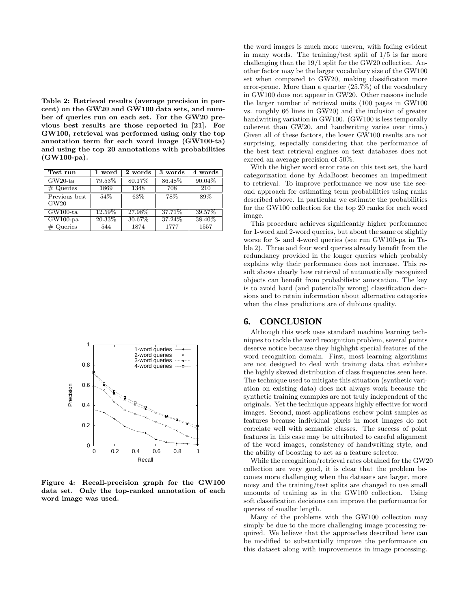Table 2: Retrieval results (average precision in percent) on the GW20 and GW100 data sets, and number of queries run on each set. For the GW20 previous best results are those reported in [21]. For GW100, retrieval was performed using only the top annotation term for each word image (GW100-ta) and using the top 20 annotations with probabilities (GW100-pa).

| Test run              | $1\,\, \mathrm{word}$ | 2 words | 3 words | 4 words |
|-----------------------|-----------------------|---------|---------|---------|
| $GW20-ta$             | 79.53%                | 80.17%  | 86.48%  | 90.04%  |
| $#$ Queries           | 1869                  | 1348    | 708     | 210     |
| Previous best<br>GW20 | 54%                   | 63%     | 78%     | 89%     |
| $GW100-ta$            | $12.59\%$             | 27.98%  | 37.71%  | 39.57%  |
| $GW100$ -pa           | 20.33%                | 30.67%  | 37.24%  | 38.40%  |
| $#$ Queries           | 544                   | 1874    | 1777    | 1557    |



Figure 4: Recall-precision graph for the GW100 data set. Only the top-ranked annotation of each word image was used.

the word images is much more uneven, with fading evident in many words. The training/test split of  $1/5$  is far more challenging than the 19/1 split for the GW20 collection. Another factor may be the larger vocabulary size of the GW100 set when compared to GW20, making classification more error-prone. More than a quarter (25.7%) of the vocabulary in GW100 does not appear in GW20. Other reasons include the larger number of retrieval units (100 pages in GW100 vs. roughly 66 lines in GW20) and the inclusion of greater handwriting variation in GW100. (GW100 is less temporally coherent than GW20, and handwriting varies over time.) Given all of these factors, the lower GW100 results are not surprising, especially considering that the performance of the best text retrieval engines on text databases does not exceed an average precision of 50%.

With the higher word error rate on this test set, the hard categorization done by AdaBoost becomes an impediment to retrieval. To improve performance we now use the second approach for estimating term probabilities using ranks described above. In particular we estimate the probabilities for the GW100 collection for the top 20 ranks for each word image.

This procedure achieves significantly higher performance for 1-word and 2-word queries, but about the same or slightly worse for 3- and 4-word queries (see run GW100-pa in Table 2). Three and four word queries already benefit from the redundancy provided in the longer queries which probably explains why their performance does not increase. This result shows clearly how retrieval of automatically recognized objects can benefit from probabilistic annotation. The key is to avoid hard (and potentially wrong) classification decisions and to retain information about alternative categories when the class predictions are of dubious quality.

## **6. CONCLUSION**

Although this work uses standard machine learning techniques to tackle the word recognition problem, several points deserve notice because they highlight special features of the word recognition domain. First, most learning algorithms are not designed to deal with training data that exhibits the highly skewed distribution of class frequencies seen here. The technique used to mitigate this situation (synthetic variation on existing data) does not always work because the synthetic training examples are not truly independent of the originals. Yet the technique appears highly effective for word images. Second, most applications eschew point samples as features because individual pixels in most images do not correlate well with semantic classes. The success of point features in this case may be attributed to careful alignment of the word images, consistency of handwriting style, and the ability of boosting to act as a feature selector.

While the recognition/retrieval rates obtained for the GW20 collection are very good, it is clear that the problem becomes more challenging when the datasets are larger, more noisy and the training/test splits are changed to use small amounts of training as in the GW100 collection. Using soft classification decisions can improve the performance for queries of smaller length.

Many of the problems with the GW100 collection may simply be due to the more challenging image processing required. We believe that the approaches described here can be modified to substantially improve the performance on this dataset along with improvements in image processing.